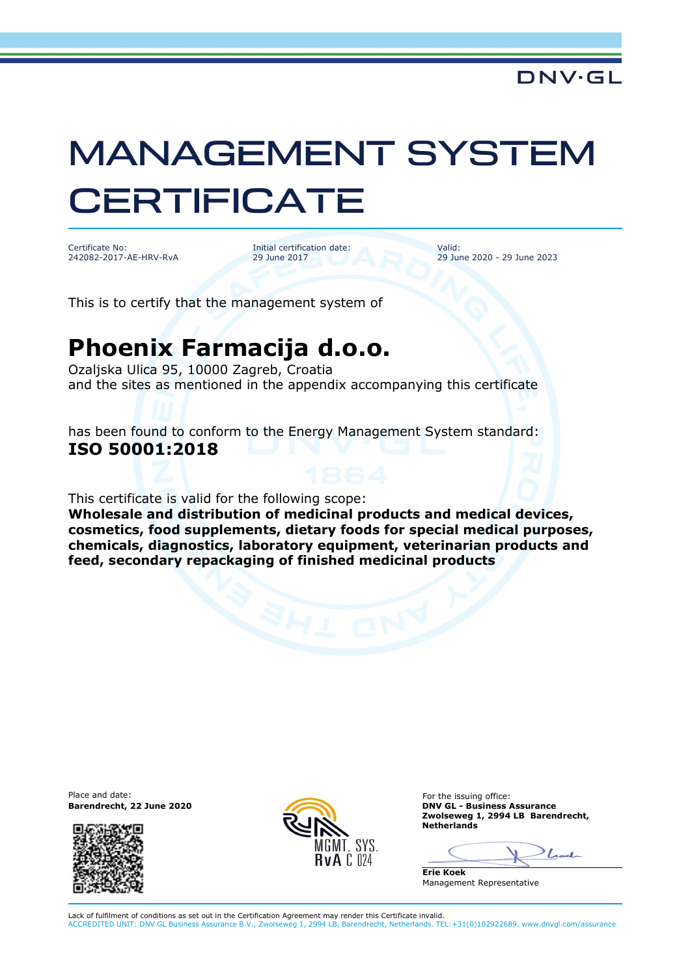## MANAGEMENT SYSTEM **CERTIFICATE**

Certificate No: 242082-2017-AE-HRV-RvA

Initial certification date: 29 June 2017

Valid: 29 June 2020 - 29 June 2023

This is to certify that the management system of

## **Phoenix Farmacija d.o.o.**

Ozaljska Ulica 95, 10000 Zagreb, Croatia and the sites as mentioned in the appendix accompanying this certificate

has been found to conform to the Energy Management System standard: **ISO 50001:2018**

This certificate is valid for the following scope:

**Wholesale and distribution of medicinal products and medical devices, cosmetics, food supplements, dietary foods for special medical purposes, chemicals, diagnostics, laboratory equipment, veterinarian products and feed, secondary repackaging of finished medicinal products**

Place and date:





For the issuing office: **Barendrecht, 22 June 2020 DNV GL - Business Assurance Zwolseweg 1, 2994 LB Barendrecht, Netherlands** 

Look

**Erie Koek** Management Representative

Lack of fulfilment of conditions as set out in the Certification Agreement may render this Certificate invalid. ACCREDITED UNIT: DNV GL Business Assurance B.V., Zwolseweg 1, 2994 LB, Barendrecht, Netherlands. TEL:+31(0)102922689. www.dnvgl.com/assurance